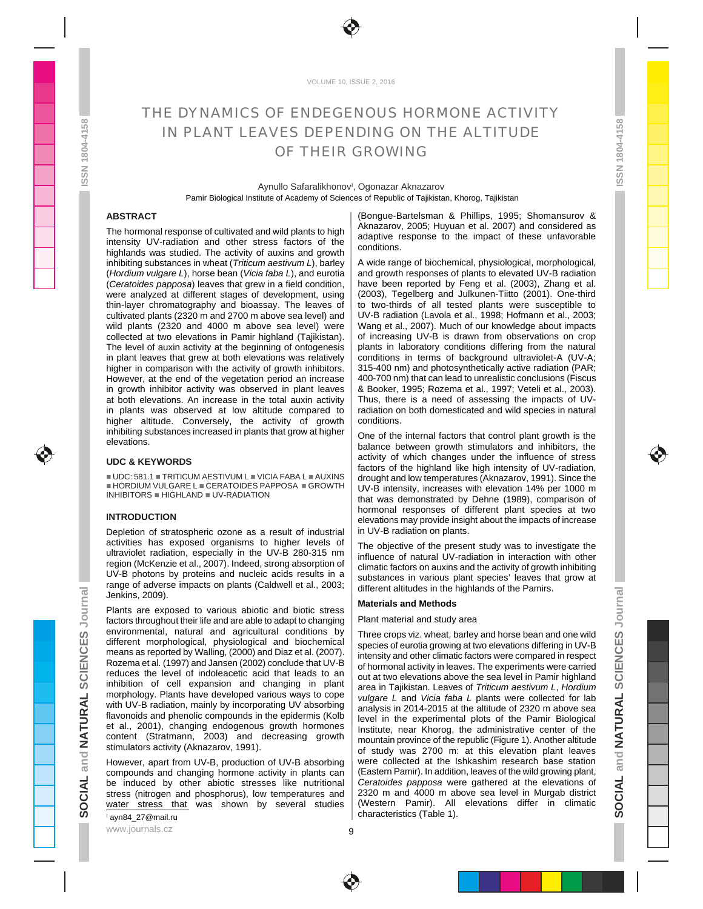

VOLUME 10, ISSUE 2, 2016

# THE DYNAMICS OF ENDEGENOUS HORMONE ACTIVITY **The state of the set of the set of the set of the set of the set o** IN PLANT LEAVES DEPENDING ON THE ALTITUDE  $\frac{a}{7}$ OF THEIR GROWING THEIR GROWING

Aynullo Safaralikhonov<sup>I</sup>, Ogonazar Aknazarov Pamir Biological Institute of Academy of Sciences of Republic of Tajikistan, Khorog, Tajikistan

The hormonal response of cultivated and wild plants to high intensity UV-radiation and other stress factors of the  $\frac{1}{2}$  conditions to the impact of these differences in  $\frac{1}{2}$ highlands was studied. The activity of auxins and growth  $\vert$  conditions. The condition of the condition of the condition of the condition of the condition of the condition of the condition of the condition of the conditio higher altitude. Conversely, the activity of growth conditions. The conditions of the conditional conditions of the conditional conditions of the conditional conditions of the conditions of the conditions of the conditions inhibiting substances increased in plants that grow at higher  $\vert$  One of the internal factors that control plant growth is the IN PLANT LEAVES OPPERENTMENT (SCIENCES) (1992) (1993) (1993) (1993) (1993) (1993) (1993) (1993) (1993) (1993) (1993) (1993) (1993) (1993) (1993) (1993) (1993) (1993) (1993) (1993) (1993) (1993) (1993) (1994) (1994) (1994) **SOCION TRANSPORT IS CONTROLLANT IS CONTROLLANT IS CONTROLLANT IS CONTROLLANT IS CONTROLLANT IS CONTROLLANT IS CONTROLLANT IS CONTROLLANT IS CONTROLLANT IS CONTROLLANT IS CONTROLLANT IS CONTROLLANT IS CONTROLLANT IS CONTR** 

Depletion of stratospheric ozone as a result of industrial | in UV-B radiation on plants. activities has exposed organisms to higher levels of The objective of the present study was to investigate the Jenkins, 2009).  $\overline{\mathbb{P}}$  and the set of the set of the set of the set of the set of the set of the set of the set of the set of the set of the set of the set of the set of the set of the set of the set of the set of th

Plants are exposed to various abiotic and biotic stress factors throughout their life and are able to adapt to changing | Plant material and study area environmental, natural and agricultural conditions by  $\mid$  Three-crops viz wheat barley and horse bean and one wild  $\langle 0 \rangle$ 

I ayn84\_27@mail.ru

ABSTRACT **Absolute Construction Constructs** (Bongue-Bartelsman & Phillips, 1995; Shomansurov & (Bongue-Bartelsman & Phillips, 1995; Shomansurov & Aknazarov, 2005; Huyuan et al. 2007) and considered as adaptive response to the impact of these unfavorable **the set of the set of the set of the set of the set of the** conditions. The conditions of the conditions of the conditions of the conditions of the conditions of the conditions of the conditions of the conditions of the conditions of the conditions of the conditions of the conditio

inhibiting substances in wheat (*Triticum a stivum L*), barley  $\;\mid\;$  A wide range of biochemical, physiological, morphological, when he can all the context of the context of the context of the context of the context of (*Hordium vulgare L*), horse bean (*Vicia faba L*), and eurotia (*Ceratoides papposa*) leaves that grew in a field condition, I have been reported by Feng et al. (2003), Zhang et al. In the same streament of the streament of the streament of the streament of the streament of the stream were analyzed at different stages of development, using | (2003), Tegelberg and Julkunen-Tiitto (2001). One-third thin-layer chromatography and bioassay. The leaves of | to two-thirds of all tested plants were susceptible to cultivated plants (2320 m and 2700 m above sea level) and  $\mid$  UV-B radiation (Lavola et al., 1998; Hofmann et al., 2003; wild plants (2320 and 4000 m above sea level) were | Wang et al., 2007). Much of our knowledge about impacts collected at two elevations in Pamir highland (Tajikistan). | of increasing UV-B is drawn from observations on crop The level of auxin activity at the beginning of ontogenesis | plants in laboratory conditions differing from the natural in plant leaves that grew at both elevations was relatively | conditions in terms of background ultraviolet-A (UV-A; higher in comparison with the activity of growth inhibitors. | 315-400 nm) and photosynthetically active radiation (PAR; However, at the end of the vegetation period an increase | 400-700 nm) that can lead to unrealistic conclusions (Fiscus in growth inhibitor activity was observed in plant leaves | & Booker, 1995; Rozema et al., 1997; Veteli et al., 2003). at both elevations. An increase in the total auxin activity | Thus, there is a need of assessing the impacts of UVin plants was observed at low altitude compared to  $\mid$  radiation on both domesticated and wild species in natural A wide range of biochemical, physiological, morphological, the state of the state of the state of the state of and growth responses of plants to elevated UV-B radiation **the contract of the set of plants** have been reported by Feng et al. (2003), Zhang et al. (2003), Tegelberg and Julkunen-Tiitto (2001). One-third to two-thirds of all tested plants were susceptible to UV-B radiation (Lavola et al., 1998; Hofmann et al., 2003; Wang et al., 2007). Much of our knowledge about impacts of increasing UV-B is drawn from observations on crop plants in laboratory conditions differing from the natural conditions in terms of background ultraviolet-A (UV-A; conditions in terms of background ultraviolet-A (UV-A; 315-400 nm) and photosynthetically active radiation (PAR; 400-700 nm) that can lead to unrealistic conclusions (Fiscus & Booker, 1995; Rozema et al., 1997; Veteli et al., 2003). Thus, there is a need of assessing the impacts of UV-radiation on both domesticated and wild species in natural radiation on both domesticated and wild species in natural conditions. The conditions of the conditions of the conditions of the conditions of the conditions of the conditions of the conditions of the conditions of the conditions of the conditions of the conditions of the conditio

 $\frac{1}{2}$  elevations. **INTRODUCTION** One of the internal factors that control plant growth is the balance between growth stimulators and inhibitors, the the state of the state of the state of the state of the state of the state of the state of the state of the state of the state of the state of the state of the state o activity of which changes under the influence of stress **the state of the state of the state** factors of the highland like high intensity of UV-radiation, drought and low temperatures (Aknazarov, 1991). Since the UV-B intensity, increases with elevation 14% per 1000 m that was demonstrated by Dehne (1989), comparison of hormonal responses of different plant species at two elevations may provide insight about the impacts of increase in UV-B radiation on plants. UDC & KEYWORDS **EXERCISE A CONSIDER A CONSIDERATION** of the biobland like bight intensity of LIV radiation UDC: 581.1 TRITICUM A STIVUM L VICIA FABA L AUXINS | drought and low temperatures (Aknazarov, 1991). Since the HORDIUM VULGARE L CERATOIDES PAPPOSA GROWTH INHIBITORS HIGHLAND UV-RADIATION **that was demonstrated** by Debne (1980) comparison of

ultraviolet radiation, especially in the UV-B 280-315 nm  $\frac{100}{100}$  influence of patural UV-radiation in interaction with other region (McKenzie et al., 2007). Indeed, strong absorption of elimetic factors on auxins and the activity of growth inhibiting UV-B photons by proteins and nucleic acids results in a  $\frac{1}{\text{substance}}$  in various plant species' leaves that grow at range of adverse impacts on plants (Caldwell et al., 2003;  $\left| \right|$  different altitudes in the big blands of the Bamirs  $\overline{a}$ The objective of the present study was to investigate the influence of natural UV-radiation in interaction with other climatic factors on auxins and the activity of growth inhibiting substances in various plant species' leaves that grow at different altitudes in the highlands of the Pamirs.  $\overline{\phantom{a}}$ 

### **Materials and Methods**

## Plant material and study area **but are all the study of the study of the study of the study of the study of the study of the study of the study of the study of the study of the study of the study of the study of the study**

different morphological, physiological and biochemical  $\frac{1}{2}$  species of eurotia growing at two elevations differing in LIV-R means as reported by Walling, (2000) and Diaz et al. (2007).  $\vert$  intensity and other climatic factors were compared in respect Rozema et al. (1997) and Jansen (2002) conclude that UV-B  $\parallel$  of bormonal activity in leaves. The experiments were carried reduces the level of indoleacetic acid that leads to an  $\int$  out at two elevations above the sea level in Pamir bighland inhibition of cell expansion and changing in plant  $\vert$  area in Tajikistan Leaves of Triticum a stivum L Hordium morphology. Plants have developed various ways to cope  $\left| \frac{VU}{VU} \right|$  and  $V$  (c/a fabe 1 plants were collected for lab with UV-B radiation, mainly by incorporating UV absorbing  $\frac{1}{2}$  analysis in 2014-2015 at the altitude of 2320 m above sea flavonoids and phenolic compounds in the epidermis (Kolb  $\vert$   $\vert$  avel in the experimental plots of the Pamir Biological et al., 2001), changing endogenous growth hormones  $\vert$  institute near Khorog the administrative center of the content (Stratmann, 2003) and decreasing growth  $\frac{1}{1}$  mountain province of the republic (Figure 1) Apother altitude stimulators activity (Aknazarov, 1991).  $\qquad \qquad$  of study was 2700 m at this elevation plant leaves However, apart from UV-B, production of UV-B absorbing | were collected at the Ishkashim research base station  $\epsilon$ compounds and changing hormone activity in plants can | (Eastern Pamir). In addition, leaves of the wild growing plant, be in the highlands of the Pamirs.<br>
Jankis are exposed to various abiotic and biotic stress<br>
latents from the primar abid by a real to dentate the context of the pamir and are the data to dentate the interviewed content o stress (nitrogen and phosphorus), low temperatures and | 2320 m and 4000 m above sea level in Murgab district  $\vec{a}$  | | water stress that was shown by several studies Three crops viz. wheat, barley and horse bean and one wild  $\qquad \qquad \bullet$ species of eurotia growing at two elevations differing in UV-B  $\begin{array}{c} \downarrow \downarrow \downarrow \end{array}$ intensity and other climatic factors were compared in respect  $\mathcal{Z}$ of hormonal activity in leaves. The experiments were carried  $\qquad \qquad \Box$ out at two elevations above the sea level in Pamir highland  $\qquad \qquad \bullet \qquad \qquad$ area in Tajikistan. Leaves of *Triticum a stivum L, Hordium vulgare L* and *Vicia faba L* plants were collected for lab analysis in 2014-2015 at the altitude of 2320 m above sea  $\rightarrow$ level in the experimental plots of the Pamir Biological  $\Box$ Institute, near Khorog, the administrative center of the  $\Box$ mountain province of the republic (Figure 1). Another altitude  $\qquad \qquad \Rightarrow \qquad \qquad$ of study was 2700 m: at this elevation plant leaves  $\overline{\phantom{x}}$  , and a set of  $\overline{\phantom{x}}$ were collected at the Ishkashim research base station  $\epsilon$ (Eastern Pamir). In addition, leaves of the wild growing plant,  $\qquad \qquad \qquad \blacksquare$ *Ceratoides papposa* were gathered at the elevations of  $\overrightarrow{z}$ 2320 m and 4000 m above sea level in Murgab district  $\qquad \qquad \Rightarrow \qquad$ (Western Pamir). All elevations differ in climatic  $\bigcirc$ characteristics (Table 1).  $\boldsymbol{\sigma}$  and  $\boldsymbol{\sigma}$  and  $\boldsymbol{\sigma}$  and  $\boldsymbol{\sigma}$  and  $\boldsymbol{\sigma}$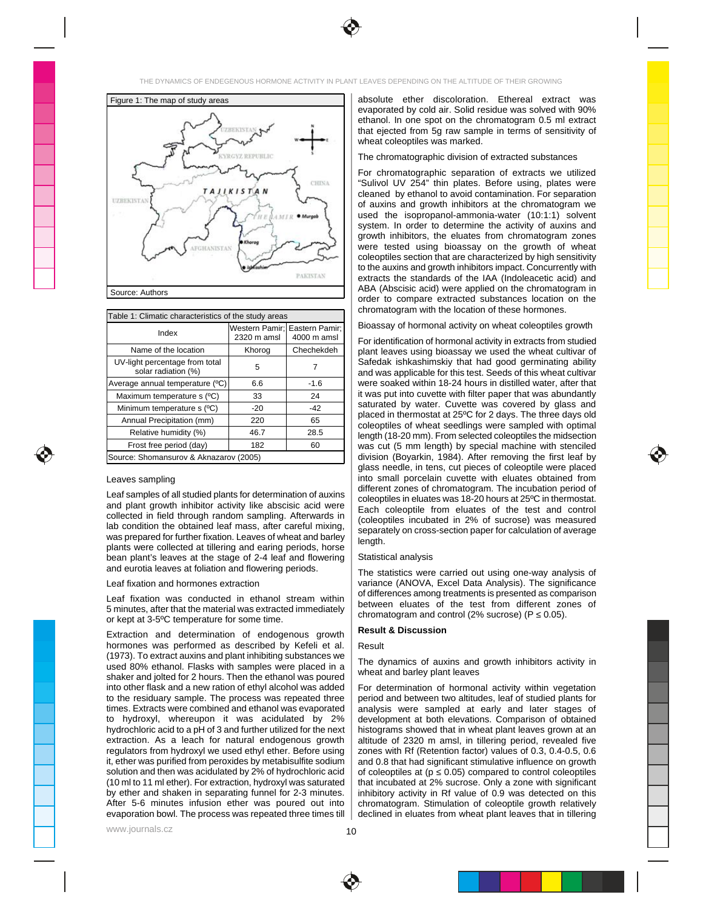



| able 1: Climatic characteristics of the study areas |                                    | fromatogram with the location of these normones.                                                                                                      |  |  |
|-----------------------------------------------------|------------------------------------|-------------------------------------------------------------------------------------------------------------------------------------------------------|--|--|
| Index                                               | Nestern Pamir I Fastern Pamir I II | $\frac{1}{1}$ Bioassay of hormonal activity on wheat coleoptiles growth                                                                               |  |  |
|                                                     | 520 m amsl                         | For identification of hormonal activity in extracts from studied                                                                                      |  |  |
| Name of the location Khorog (                       |                                    | plant leaves using bioassay we used the wheat cultivar of                                                                                             |  |  |
| JV-light percentage from total                      |                                    | Safedak ishkashimskiy that had good germinating ability                                                                                               |  |  |
| solar radiation (%)                                 |                                    | and was applicable for this test. Seeds of this wheat cultivar                                                                                        |  |  |
| rage annual temperature (ºC)                        |                                    | were soaked within 18-24 hours in distilled water, after that                                                                                         |  |  |
| Maximum temperature s (°C)                          |                                    | I lit was put into cuvette with filter paper that was abundantly                                                                                      |  |  |
| Minimum temperature s (°C)                          |                                    | saturated by water. Cuvette was covered by glass and                                                                                                  |  |  |
| Annual Precipitation (mm)                           |                                    | 1   placed in thermostat at 25°C for 2 days. The three days old<br>$\left\vert -\right\vert$ coleoptiles of wheat seedlings were sampled with optimal |  |  |
| Relative humidity (%) 46.7                          |                                    | ↓ │ length (18-20 mm). From selected coleoptiles the midsection                                                                                       |  |  |
| Frost free period (day)   182                       |                                    | was cut (5 mm length) by special machine with stenciled                                                                                               |  |  |
| "∩e: Snomansurov & Aknazarov (2005)                 |                                    | division (Boyarkin, 1984). After removing the first leaf by                                                                                           |  |  |

and plant growth inhibitor activity like abscisic acid were collected in field through random sampling. Afterwards in  $\left[\text{colorleftleftrightrightrightright]$  in  $\left[\text{colorleftleftrightrightrightright}]$  in  $\left[\text{colorleftleftrightrightrightright}$  in  $\left[\text{colorleftleftrightrightrightright}]$ lab condition the obtained leaf mass, after careful mixing,  $\left( \frac{1}{2} \right)$  conservation cross-section paper for calculation of average was prepared for further fixation. Leaves of wheat and barley  $\vert$  league that  $\vert$ plants were collected at tillering and earing periods, horse  $\vert$  in the set of the set of the set of the set of the set of the set of the set of the set of the set of the set of the set of the set of the set of the set of bean plant's leaves at the stage of 2-4 leaf and flowering  $\, \mid \,$  Statistical analysis and eurotia leaves at foliation and flowering periods.  $\vert$  The statistics were carried out using one-way analysis of

Leaf fixation was conducted in ethanol stream within  $\frac{1}{2}$  between eluction of the total from different zones of 5 minutes, after that the material was extracted immediately  $\frac{1}{2}$  conventions and control (2% currece) (B, 0.05) or kept at  $3-5^{\circ}$ C temperature for some time.  $\Box$  on  $\Box$  is the matrix gram and control (2% decrees) (i.e.,  $\Box$ ).

Extraction and determination of endogenous growth state and discussion extraction and determination of endogenous growth states of the state of the state of the state of the state of the state of the state of the state of hormones was performed as described by Kefeli et al. (1973). To extract auxins and plant inhibiting substances we  $\vert$  the dimension of equipe and erection inhibitors activity in  $\vert$ used 80% ethanol. Flasks with samples were placed in a  $\frac{1}{2}$  wheat and below plant lower place  $\frac{1}{2}$ shaker and jolted for 2 hours. Then the ethanol was poured  $\parallel$  when and bandy plant reaves into other flask and a new ration of ethyl alcohol was added | For determination of hormonal activity within vegetation **were all a set allow** to the residuary sample. The process was repeated three | period and between two altitudes, leaf of studied plants for **New 1980** times. Extracts were combined and ethanol was evaporated | analysis were sampled at early and later stages of steaded by the later to hydroxyl, whereupon it was acidulated by 2% | development at both-elevations. Comparison-of-obtained hydrochloric acid to a pH of 3 and further utilized for the next | histograms showed that in wheat plant leaves grown at an  $\|$ extraction. As a leach for natural endogenous growth | altitude of 2320 m amsl, in tillering period, revealed five regulators from hydroxyl we used ethyl ether. Before using  $|$  zones with Rf (Retention factor) values of 0.3, 0.4-0.5, 0.6  $|$ it, ether was purified from peroxides by metabisulfite sodium | and 0.8 that had significant stimulative influence on growth  $\Box$ solution and then was acidulated by 2% of hydrochloric acid | of coleoptiles at (p 0.05) compared to control coleoptiles (10 ml to 11 ml ether). For extraction, hydroxyl was saturated by ether and shaken in separating funnel for 2-3 minutes. After 5-6 minutes infusion ether was poured out into | chromatogram. Stimulation of coleoptile growth relatively  $\begin{vmatrix} \cdots \end{vmatrix}$ 

absolute ether discoloration. Ethereal extract was **a subsolute** the discoloration. evaporated by cold air. Solid residue was solved with 90% ethanol. In one spot on the chromatogram 0.5 ml extract **by a struck of the struck** that ejected from 5g raw sample in terms of sensitivity of **the same of the set of the set of the set of the set of the set of the set of the set of the set of the set of the set of the set of the set of the set of the set** wheat coleoptiles was marked. The control of the control of the control of the control of the control of the control of the control of the control of the control of the control of the control of the control of the control Figure 1: The map of study areas **Figure 1: The map of study areas Figure 1: The map of study areas Figure 1: The map of study areas Figure 1: The map of study areas Figure 1: The map of study areas Figure 1: The map of** 

## The chromatographic division of extracted substances **The chromatographic division of extracted** substances

For chromatographic separation of extracts we utilized "Sulivol UV 254" thin plates. Before using, plates were cleaned by ethanol to avoid contamination. For separation **the contact of the set of the set of the contact** of auxins and growth inhibitors at the chromatogram we **Alter and the set of the set of the set of the set of the set of the set of the set of the set of the set of the set of the set of the set of the set of the set of th** used the isopropanol-ammonia-water (10:1:1) solvent system. In order to determine the activity of auxins and **Alta Constants and** growth inhibitors, the eluates from chromatogram zones were tested using bioassay on the growth of wheat **with a state** coleoptiles section that are characterized by high sensitivity **that in the set of the set of the set of the set** to the auxins and growth inhibitors impact. Concurrently with extracts the standards of the IAA (Indoleacetic acid) and ABA (Abscisic acid) were applied on the chromatogram in order to compare extracted substances location on the chromatogram with the location of these hormones. Source: Authors

#### Bioassay of hormonal activity on wheat coleoptiles growth Eastern Pamir; | | DIOASSAY OF NOTHOLE ACTIVITY ON WHEAT COLEOPHIES GROWTH

Leaves sampling the sampling state of the small porcelain cuvette with eluates obtained from Leaves and the sampling Leaf samples of all studied plants for determination of auxins<br>Coleonillas in eluminate was 18-20 boutes at 25% in thermostat For identification of hormonal activity in extracts from studied plant leaves using bioassay we used the wheat cultivar of Safedak ishkashimskiy that had good germinating ability and was applicable for this test. Seeds of this wheat cultivar were soaked within 18-24 hours in distilled water, after that it was put into cuvette with filter paper that was abundantly saturated by water. Cuvette was covered by glass and placed in thermostat at 25ºC for 2 days. The three days old coleoptiles of wheat seedlings were sampled with optimal length (18-20 mm). From selected coleoptiles the midsection was cut (5 mm length) by special machine with stenciled division (Boyarkin, 1984). After removing the first leaf by  $\bullet$ glass needle, in tens, cut pieces of coleoptile were placed into small porcelain cuvette with eluates obtained from different zones of chromatogram. The incubation period of coleoptiles in eluates was 18-20 hours at 25ºC in thermostat. Each coleoptile from eluates of the test and control (coleoptiles incubated in 2% of sucrose) was measured separately on cross-section paper for calculation of average length. In the case of the case of the case of the case of the case of the case of the case of the case of the 2320 m amsl 4000 m amsl Name of the location | Khorog | Chechekdeh | | plant leaves using bioassav we used the wheat cultivar of Safedak ishkashimskiy that had good germinating ability solar radiation  $(\%)$   $\begin{array}{|l|}\n\hline\n5\n\end{array}$  7  $\begin{array}{|l|}\n\hline\n3\n\end{array}$  and was applicable for this test. Seeds of this wheat cultivar Average annual temperature (°C) | 6.6 | -1.6 | | were soaked within 18-24 hours in distilled water, after that Maximum temperature s (°C)  $\begin{vmatrix} 33 \end{vmatrix}$  24 | T was put into cuverte with filter paper that was abundantly Minimum temperature s  $(°C)$   $\vert$  -20  $\vert$  -42  $\vert$  saturated by water. Cuvente was covered by glass and Annual Precipitation (mm) 220 65 conservative contract the conservative conservative conservative conservative conservative conservative conservative conservative conservative conservative conservative conservative conserv Relative humidity  $\%$   $\qquad$  46.7  $\qquad$  28.5  $\qquad$  | Length (18-20 mm) From selected coleoptiles the midsection Frost free period (day)  $\begin{array}{|c|c|c|c|c|}\n\hline\n\end{array}$  182  $\begin{array}{|c|c|c|c|c|}\n\hline\n\end{array}$  was cut (5 mm length) by special machine with stenciled

### Statistical analysis

Leaf fixation and hormones extraction The statistics were carried out using one-way analysis of variance (ANOVA, Excel Data Analysis). The significance of differences among treatments is presented as comparison between eluates of the test from different zones of chromatogram and control (2% sucrose)  $(P \quad 0.05)$ .

# **Result & Discussion**

## Result

The dynamics of auxins and growth inhibitors activity in wheat and barley plant leaves **the controller of the controller of the controller of the controller of the control** 

evaporation bowl. The process was repeated three times till  $\mid$  declined in eluates from wheat plant leaves that in tillering For determination of hormonal activity within vegetation period and between two altitudes, leaf of studied plants for analysis were sampled at early and later stages of development at both elevations. Comparison of obtained histograms showed that in wheat plant leaves grown at an **the solution of the state of the state** altitude of 2320 m amsl, in tillering period, revealed five zones with Rf (Retention factor) values of 0.3, 0.4-0.5, 0.6 and 0.8 that had significant stimulative influence on growth of coleoptiles at (p ≤ 0.05) compared to control coleoptiles that incubated at 2% sucrose. Only a zone with significant inhibitory activity in Rf value of 0.9 was detected on this chromatogram. Stimulation of coleoptile growth relatively declined in eluates from wheat plant leaves that in tillering

www.journals.cz

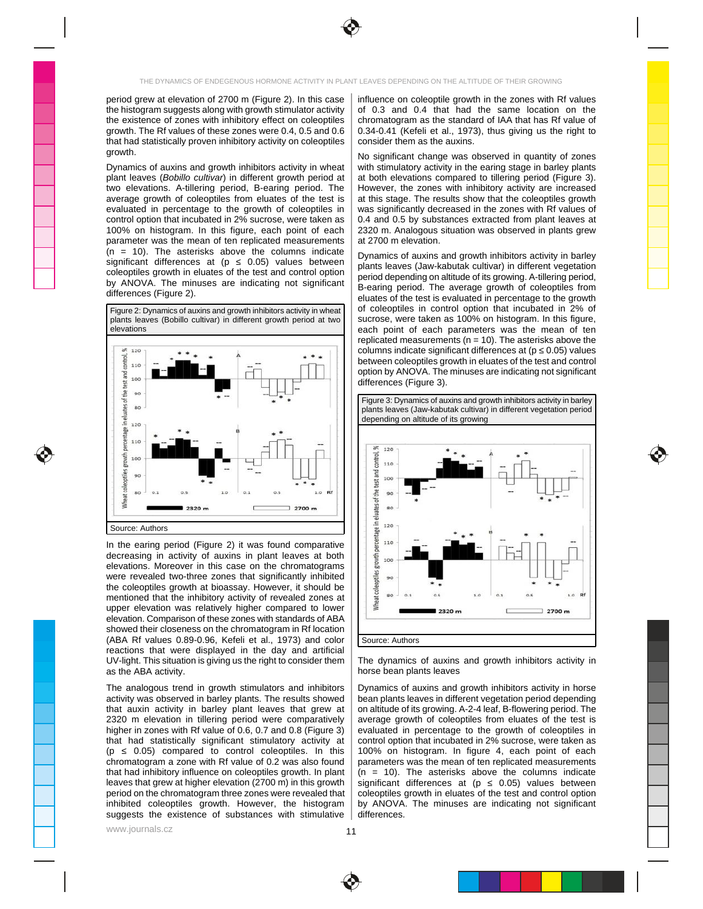

period grew at elevation of 2700 m (Figure 2). In this case |influence on coleoptile growth in the zones with Rf values the histogram suggests along with growth stimulator activity  $\parallel$  of 0.3 and 0.4 that had the same location on the the existence of zones with inhibitory effect on coleoptiles | chromatogram as the standard of IAA that has Rf value of \_\_\_\_\_\_\_\_\_\_\_\_\_\_\_ growth. The Rf values of these zones were 0.4, 0.5 and 0.6  $\,$  0.34-0.41 (Kefeli et al., 1973), thus giving us the right to  $\,$ that had statistically proven inhibitory activity on coleoptiles | consider them as the auxins. growth. The structure of the structure of the structure of the structure of the structure of the structure of the structure of the structure of the structure of the structure of the structure of the structure of the struct

parameter was the mean of ten replicated measurements | at 2700 m elevation. The measurements of the state of the measurements of the measurements of the measurements of the measurements of the measurements of the measurem  $(n = 10)$ . The asterisks above the columns indicate  $\vert_{\text{Dynomics of curves and growth inhibitors activity in herlev}}$ significant differences at  $(p \t 0.05)$  values between  $\begin{bmatrix} p \text{ units} \\ p \text{ units} \end{bmatrix}$ coleoptiles growth in eluates of the test and control option  $\left| \right|$  period depending on altitude of its growing A-tillering period by ANOVA. The minuses are indicating not significant  $\left| \begin{array}{c} \frac{\partial}{\partial u} & \frac{\partial}{\partial u} \\ \frac{\partial}{\partial u} & \frac{\partial}{\partial u} \end{array} \right|$  arised The average growth of colonilles from



UV-light. This situation is giving us the right to consider them | The dynamics of auxins and growth inhibitors activity in **were ween** 

The analogous trend in growth stimulators and inhibitors | Dynamics of auxins and growth inhibitors activity in horse **The Interact of the Interact** activity was observed in barley plants. The results showed | bean plants leaves in different vegetation period depending were well were the state of the state of the state of the state of the state of the state of the stat that auxin activity in barley plant leaves that grew at | on altitude of its growing. A-2-4 leaf, B-flowering period. The wore well well 2320 m elevation in tillering period were comparatively | average growth of coleoptiles from eluates of the test is higher in zones with Rf value of 0.6, 0.7 and 0.8 (Figure 3) | evaluated in percentage to the growth of coleoptiles in  $\vert$ that had statistically significant stimulatory activity at | control option that incubated in 2% sucrose, were taken as  $\Box$ (p  $-$  0.05) compared to control coleoptiles. In this  $|$  100% on histogram. In figure 4, each point of each  $|$ chromatogram a zone with Rf value of 0.2 was also found  $\parallel$  parameters was the mean of ten replicated measurements  $\parallel$ that had inhibitory influence on coleoptiles growth. In plant  $|$  (n = 10). The asterisks above the columns indicate  $|$ leaves that grew at higher elevation (2700 m) in this growth | significant differences at (p 0.05) values between  $\vert$  | period on the chromatogram three zones were revealed that | coleoptiles growth in eluates of the test and control option | | inhibited coleoptiles growth. However, the histogram | by ANOVA. The minuses are indicating not significant \_\_\_\_\_\_\_\_

influence on coleoptile growth in the zones with Rf values \_\_\_\_\_\_\_\_\_\_\_\_\_\_\_\_\_\_\_\_\_ of 0.3 and 0.4 that had the same location on the the state of the state of the state of the state of the state chromatogram as the standard of IAA that has Rf value of 0.34-0.41 (Kefeli et al., 1973), thus giving us the right to consider them as the auxins. The constant of the consider them as the auxins.

Dynamics of auxins and growth inhibitors activity in wheat | with stimulatory activity in the earing stage in barley plants plant leaves (*Bobillo cultivar*) in different growth period at | at both elevations compared to tillering period (Figure 3). two elevations. A-tillering period, B-earing period. The | However, the zones with inhibitory activity are increased average growth of coleoptiles from eluates of the test is | at this stage. The results show that the coleoptiles growth steed in the state in the state in the state in the state in the state in the state in the state in th evaluated in percentage to the growth of coleoptiles in  $\parallel$  was significantly decreased in the zones with Rf values of control option that incubated in 2% sucrose, were taken as  $\parallel$  0.4 and 0.5 by substances extracted from plant leaves at  $\parallel$ 100% on histogram. In this figure, each point of each | 2320 m. Analogous situation was observed in plants grew No significant change was observed in quantity of zones with stimulatory activity in the earing stage in barley plants **The Community of the State** at both elevations compared to tillering period (Figure 3). However, the zones with inhibitory activity are increased **The solution of the structure** at this stage. The results show that the coleoptiles growth **the state of the state of the state** of the state o was significantly decreased in the zones with Rf values of **we have a finally of the solution** 0.4 and 0.5 by substances extracted from plant leaves at 2320 m. Analogous situation was observed in plants grew **the contact of the set of the contact** at 2700 m elevation. The contract of the contract of the contract of the contract of the contract of the contra

differences (Figure 2).  $\frac{1}{2}$  all  $\frac{1}{2}$  and  $\frac{1}{2}$  all  $\frac{1}{2}$  and  $\frac{1}{2}$  and  $\frac{1}{2}$  and  $\frac{1}{2}$  and  $\frac{1}{2}$  and  $\frac{1}{2}$  and  $\frac{1}{2}$  and  $\frac{1}{2}$  and  $\frac{1}{2}$  and  $\frac{1}{2}$  and  $\frac{1}{2}$  and Dynamics of auxins and growth inhibitors activity in barley **the set of the set of the set of the set of** plants leaves (Jaw-kabutak cultivar) in different vegetation \_\_\_\_\_\_\_\_\_\_\_\_\_\_\_\_\_\_\_ period depending on altitude of its growing. A-tillering period, **The contact of the set of the contact of** B-earing period. The average growth of coleoptiles from eluates of the test is evaluated in percentage to the growth of coleoptiles in control option that incubated in 2% of sucrose, were taken as 100% on histogram. In this figure, each point of each parameters was the mean of ten replicated measurements (n = 10). The asterisks above the columns indicate significant differences at (p  $\,$  0.05) values  $\,$ between coleoptiles growth in eluates of the test and control option by ANOVA. The minuses are indicating not significant differences (Figure 3). Figure 2: Dynamics of auxins and growth inhibitors activity in wheat | | OT COIeOptiles The Control Option That Theubated The 2% of plants leaves (Bobillo cultivar) in different growth period at two | | sucrose, were taken as 100% on histogram. In this figure, elevations and the state of the state of the state of the state of the state of the state of the state of the state of the state of the state of the state of the state of the state of the state of the state of the state of



as the ABA activity.  $\begin{array}{|c|c|c|c|c|c|}\hline \end{array}$  horse bean plants leaves The dynamics of auxins and growth inhibitors activity in horse bean plants leaves

suggests the existence of substances with stimulative | differences. The matrix of the existence of substances with stimulative | differences. Dynamics of auxins and growth inhibitors activity in horse bean plants leaves in different vegetation period depending on altitude of its growing. A-2-4 leaf, B-flowering period. The average growth of coleoptiles from eluates of the test is **welled as a set of the test** evaluated in percentage to the growth of coleoptiles in control option that incubated in 2% sucrose, were taken as 100% on histogram. In figure 4, each point of each parameters was the mean of ten replicated measurements (n = 10). The asterisks above the columns indicate significant differences at (p ≤ 0.05) values between coleoptiles growth in eluates of the test and control option by ANOVA. The minuses are indicating not significant differences. The contract of the contract of the contract of the contract of the contract of the contract of the contract of the contract of the contract of the contract of the contract of the contract of the contract of t

www.journals.cz

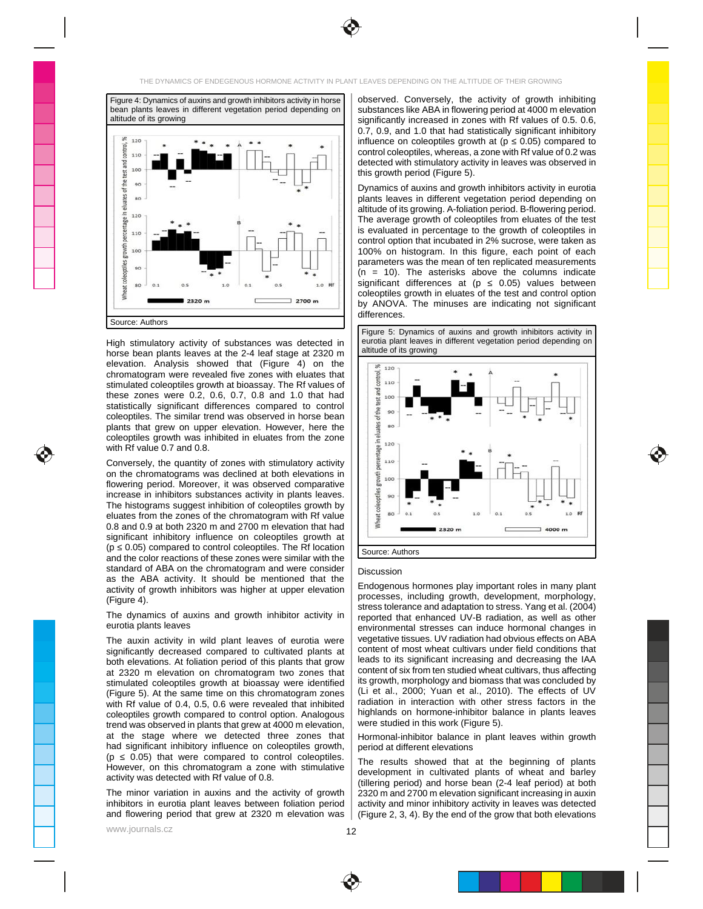



horse bean plants leaves at the 2-4 leaf stage at 2320 m  $\frac{1}{2}$  allitude of its growing elevation. Analysis showed that (Figure 4) on the  $\frac{1}{\sqrt{8}+20}$ chromatogram were revealed five zones with eluates that  $\begin{array}{ccc} \vert & \frac{3}{2} & \frac{1}{2} & \frac{1}{2} & \frac{1}{2} & \frac{1}{2} & \frac{1}{2} & \frac{1}{2} & \frac{1}{2} & \frac{1}{2} & \frac{1}{2} & \frac{1}{2} & \frac{1}{2} & \frac{1}{2} & \frac{1}{2} & \frac{1}{2} & \frac{1}{2} & \frac{1}{2} & \frac{1}{2} & \frac{1}{2} & \frac$ stimulated coleoptiles growth at bioassay. The Rf values of  $\begin{array}{|c|c|c|c|c|}\hline & 3 & 110 & \multicolumn{1}{|c|}{\multicolumn{1}{|c|}{\multicolumn{1}{|c|}{\multicolumn{1}{|c|}{\multicolumn{1}{|c|}{\multicolumn{1}{|c|}{\multicolumn{1}{|c|}{\multicolumn{1}{|c|}{\multicolumn{1}{|c|}{\multicolumn{1}{|c|}{\multicolumn{1}{|c|}{\multicolumn{1}{|c|}{$ these zones were 0.2, 0.6, 0.7, 0.8 and 1.0 that had statistically significant differences compared to control  $\left|\right|$   $\left|\frac{u}{2}$   $\right|$   $\left|\right|$   $\left|\right|$   $\left|\right|$   $\left|\right|$   $\left|\right|$   $\left|\right|$   $\left|\right|$   $\left|\right|$   $\left|\right|$   $\left|\right|$   $\left|\right|$   $\left|\right|$   $\left|\right|$   $\left|\right|$   $\left|\right|$   $\left|\right|$   $\left|\right|$  coleoptiles. The similar trend was observed in horse bean plants that grew on upper elevation. However, here the  $\|\cdot\|$   $\frac{25}{36}$  so security and the second security of the second second second second second second second second second second second second second second second coleoptiles growth was inhibited in eluates from the zone  $\|\cdot\|$   $\frac{2}{3}$  ...

Conversely, the quantity of zones with stimulatory activity  $\|\cdot\|_2^{\frac{N}{2}}$   $\frac{110}{N}$   $\frac{1}{N}$   $\frac{1}{N}$   $\frac{1}{N}$   $\frac{1}{N}$   $\frac{1}{N}$   $\frac{1}{N}$ on the chromatograms was declined at both elevations in  $\|\cdot\|$   $\leq \frac{1}{2}$  and  $\|\cdot\|$   $\|\cdot\|$   $\|\cdot\|$   $\|\cdot\|$   $\|\cdot\|$ flowering period. Moreover, it was observed comparative  $\|\cdot\|$  is a set of the set of the set of the set of the set of the set of the set of the set of the set of the set of the set of the set of the set of the set of the increase in inhibitors substances activity in plants leaves.  $\|\cdot\|_{{\mathbb{B}}}^2 \gg \|I\|$  and  $\|\cdot\|_{{\mathbb{B}}}$  and  $\|\cdot\|_{{\mathbb{B}}}$  and  $\|\cdot\|_{{\mathbb{B}}}$  and  $\|\cdot\|_{{\mathbb{B}}}$  and  $\|\cdot\|_{{\mathbb{B}}}$  and  $\|\cdot\|_{{\mathbb{B}}}$  and  $\|\cdot\|_{{\mathbb{$ The histograms suggest inhibition of coleoptiles growth by  $\|\cdot\| \frac{3}{2}$  , we have the set of the set of the set of the set of the set of the set of the set of the set of the set of the set of the set of the set of the s eluates from the zones of the chromatogram with Rf value  $\begin{array}{cc} \frac{1}{2} & \frac{1}{2} & \frac{1}{2} & \frac{1}{2} & \frac{1}{2} & \frac{1}{2} & \frac{1}{2} & \frac{1}{2} & \frac{1}{2} & \frac{1}{2} & \frac{1}{2} & \frac{1}{2} & \frac{1}{2} & \frac{1}{2} & \frac{1}{2} & \frac{1}{2} & \frac{1}{2} & \frac{1}{2} & \frac{1}{2} & \frac{1$ 0.8 and 0.9 at both 2320 m and 2700 m elevation that had  $\vert \vert \vert^2$  =  $\vert$  =  $\vert$  =  $\vert$  =  $\vert$  =  $\vert$  =  $\vert$  =  $\vert$  =  $\vert$  =  $\vert$  =  $\vert$  =  $\vert$  =  $\vert$  =  $\vert$  =  $\vert$  =  $\vert$  =  $\vert$  =  $\vert$  =  $\vert$  =  $\vert$  =  $\vert$  =  $\vert$  =  $\vert$ significant inhibitory influence on coleoptiles growth at  $||$  **in the contract of the contract of the contract of the contract of the contract of the contract of the contract of the contract of the contract of the contract**  $(p \ 0.05)$  compared to control coleoptiles. The Rf location  $\Big| \frac{1}{|S_{\text{OUIC}}|} \frac{\text{A_{UIR}}}{\text{A_{UIR}} \cdot \text{A_{UIR}} \cdot \text{A_{UIR}} \cdot \text{A_{UIR}} \cdot \text{A_{UIR}} \cdot \text{A_{UIR}} \cdot \text{A_{UIR}} \cdot \text{A_{UIR}} \cdot \text{A_{UIR}} \cdot \text{A_{UIR}} \cdot \text{A_{UIR}} \cdot \text{A_{UIR}} \cdot \text{A_{UIR}} \$ and the color reactions of these zones were similar with the standard of ABA on the chromatogram and were consider  $\mid$   $_{\text{Discuission}}$ as the ABA activity. It should be mentioned that the activity of growth inhibitors was higher at upper elevation | Endogenous normones play important foles in many plant

The dynamics of auxins and growth inhibitor activity in  $\parallel$  reported that enhanced UV-B radiation, as well as other  $\qquad \qquad \qquad$ 

The auxin activity in wild plant leaves of eurotia were | Vegetative tissues. UV radiation had obvious effects on ABA significantly decreased compared to cultivated plants at content of most wheat cultivars under field conditions that both elevations. At foliation period of this plants that grow | leads to its significant increasing and decreasing the IAA at 2320 m elevation on chromatogram two zones that content of six from ten studied wheat cultivars, thus affecting stimulated coleoptiles growth at bioassay were identified | Its growth, morphology and biomass that was concluded by (Figure 5). At the same time on this chromatogram zones  $\vert$  (Li et al., 2000; Yuan et al., 2010). The effects of UV with Rf value of 0.4, 0.5, 0.6 were revealed that inhibited  $\vert$  radiation in interaction with other stress ractors in the coleoptiles growth compared to control option. Analogous | nighiands on normone-inhibitor balance in plants leaves trend was observed in plants that grew at 4000 m elevation, Next estudied in this work (Figure 5). at the stage where we detected three zones that | Hormonal-inhibitor balance in plant leaves within growth Table had significant inhibitory influence on coleoptiles growth, | period at different elevations **with a set of the set of the set of the set of the set of the set of the set of the set of the set of the set of the set of the**  $(p \t 0.05)$  that were compared to control coleoptiles.  $\vert$  The results showed that at the beginning of plants

observed. Conversely, the activity of growth inhibiting substances like ABA in flowering period at 4000 m elevation **substances** like ABA in flowering period significantly increased in zones with Rf values of 0.5. 0.6, **we say that the set of the set of the s** 0.7, 0.9, and 1.0 that had statistically significant inhibitory **the summary of the state** influence on coleoptiles growth at (p  $(0.05)$  compared to  $\Box$ control coleoptiles, whereas, a zone with Rf value of 0.2 was detected with stimulatory activity in leaves was observed in this growth period (Figure 5). The set of the set of the set of the set of the set of the set of the set of th Figure 4: Dynamics of auxins and growth inhibitors activity in horse | | ODSETVed. Conversely, the activity of growth inhibiting were reading the station of the station of the station of the station of the station of the s bean plants leaves in different vegetation period depending on | | substances like ABA in flowering period at 4000 m elevation altitude of its growing **of the control of the control of the control of the control of the control of the control of the control of the control of the control of the control of the control of the control of the control of** 

Dynamics of auxins and growth inhibitors activity in eurotia plants leaves in different vegetation period depending on **the set of the set of the set of the set of the set o** altitude of its growing. A-foliation period. B-flowering period. The same setting provide a setting of the set The average growth of coleoptiles from eluates of the test **The absolution** is evaluated in percentage to the growth of coleoptiles in **Fig. 1** control option that incubated in 2% sucrose, were taken as **the summan of the set of the set of the set of the s** 100% on histogram. In this figure, each point of each state the state of the state of the state of the state o parameters was the mean of ten replicated measurements **Table 1**  $(n = 10)$ . The asterisks above the columns indicate significant differences at (p = 0.05) values between states and the state of the state of the state of the sta coleoptiles growth in eluates of the test and control option by ANOVA. The minuses are indicating not significant differences. The contract of the contract of the contract of the contract of the contract of the contract of the contract of the contract of the contract of the contract of the contract of the contract of the contract of t

High stimulatory activity of substances was detected in | eurotia plant leaves in different vegetation period depending on | Figure 5: Dynamics of auxins and growth inhibitors activity in eurotia plant leaves in different vegetation period depending on altitude of its growing





# Discussion **Discussion Discussion Discussion**

Figure 4). The processes, including growth, development, morphology, eurotia plants leaves et al. experience of the environmental stresses can induce hormonal changes in Endogenous hormones play important roles in many plant processes, including growth, development, morphology, stress tolerance and adaptation to stress. Yang et al. (2004) reported that enhanced UV-B radiation, as well as other environmental stresses can induce hormonal changes in vegetative tissues. UV radiation had obvious effects on ABA content of most wheat cultivars under field conditions that leads to its significant increasing and decreasing the IAA content of six from ten studied wheat cultivars, thus affecting its growth, morphology and biomass that was concluded by (Li et al., 2000; Yuan et al., 2010). The effects of UV radiation in interaction with other stress factors in the **the strate of the strate** highlands on hormone-inhibitor balance in plants leaves were studied in this work (Figure 5).  $\qquad \qquad \qquad$ 

Hormonal-inhibitor balance in plant leaves within growth  $\Box$  period at different elevations  $\Box$ 

However, on this chromatogram a zone with stimulative  $\frac{1}{2}$  development in cultivated plants of whost and barbov activity was detected with Rf value of 0.8. The minor variation in auxins and the activity of growth | 2320 m and 2700 m elevation significant increasing in auxin | | | inhibitors in eurotia plant leaves between foliation period | activity and minor inhibitory activity in leaves was detected  $\Box$ and flowering period that grew at 2320 m elevation was | (Figure 2, 3, 4). By the end of the grow that both elevations | | The results showed that at the beginning of plants development in cultivated plants of wheat and barley (tillering period) and horse bean (2-4 leaf period) at both 2320 m and 2700 m elevation significant increasing in auxin activity and minor inhibitory activity in leaves was detected (Figure 2, 3, 4). By the end of the grow that both elevations

www.journals.cz $\overline{\phantom{a}}$ 

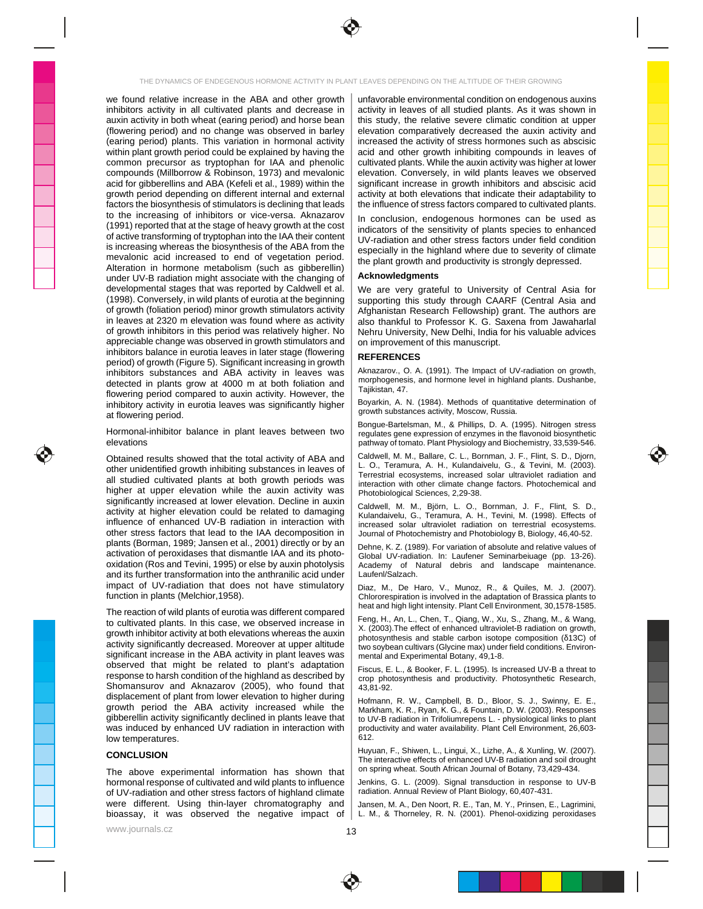

we found relative increase in the ABA and other growth | unfavorable environmental condition on endogenous auxins factors the biosynthesis of stimulators is declining that leads  $\parallel$  the influence of stress factors compared to cultivated plants. to the increasing of inhibitors or vice-versa. Aknazarov  $\parallel$  in conclusion, endogenous bormones can be used as Alteration in hormone metabolism (such as gibberellin) and the contract processing considering to the contract  $\left| \right|$ under UV-B radiation might associate with the changing of  $\parallel$  Acknowledgments and the changing of  $\parallel$  and the changing of  $\parallel$  Acknowledgments and the changing of  $\parallel$  and the changing of  $\parallel$  Acknowledgments and the cha developmental stages that was reported by Caldwell et al. | We are very grateful to University of Central Asia for appreciable change was observed in growth stimulators and  $\parallel$  on improvement of this manuscript. inhibitors balance in eurotia leaves in later stage (flowering  $\parallel$  perrpences period) of growth (Figure 5). Significant increasing in growth  $\vert$  the enterprise of the contract of the contract of the contract of the contract of the contract of the contract of the contract of the contract of the cont inhibitors substances and ABA activity in leaves was Aknazarov., O. A. (1991). The Impact of Dv-radiation on growth, detected in plants grow at 4000 m at both foliation and mathematic and normone lever in highland plants. Dushande, flowering period compared to auxin activity. However, the summary state of the state of the state of the state of the state of the state of the state of the state of the state of the state of the state of the state of the at flowering period. The contract of the contract of the security of the security, moscow, Russia.

Hormonal-inhibitor balance in plant leaves between two requiates gene expression of enzymes in the flayonoid biosynthetic

other unidentified growth inhibiting substances in leaves of  $\begin{bmatrix} 1 & 0 & 1 \\ 0 & 1 & 0 \end{bmatrix}$  research and consider ultravial section  $\begin{bmatrix} 1 & 0 & 0 \\ 0 & 1 & 0 \end{bmatrix}$ all studied cultivated plants at both growth periods was  $\left| \right|$  interaction with other climate change factors. Photochemical and higher at upper elevation while the auxin activity was photobiological Sciences 2.29-38. significantly increased at lower elevation. Decline in auxin  $\int$  Coldwell M, M, Bisco, L, Q, Bernman, L, E, Eliet, S, D activity at higher elevation could be related to damaging influence of enhanced UV-B radiation in interaction with  $\big|$  increased solar ultraviolet radiation on terrestrial ecosystems. other stress factors that lead to the IAA decomposition in | Journal of Photochemistry and Photobiology B, Biology, 46,40-52. plants (Borman, 1989; Jansen et al., 2001) directly or by an  $\parallel$  Debne K. 7. (1989). For variation of absolute and relative values of activation of peroxidases that dismantle IAA and its photoand its further transformation into the anthranilic acid under  $\parallel$  Laufenl/Salzach. impact of UV-radiation that does not have stimulatory  $|$  Diaz. M. De Haro, V., Munoz, R., & Quiles, M. J. (2007).

The reaction of wild plants of eurotia was different compared  $\frac{1}{2}$  is the set of the set of the set of the set of the set of the set of the set of the set of the set of the set of the set of the set of the set of the to cultivated plants. In this case, we observed increase in  $\begin{bmatrix} 1 & 0 & 0 \\ 0 & 0 & 0 \end{bmatrix}$  in the effect of ephenome ultravialet B rediction on a wauth growth inhibitor activity at both elevations whereas the auxin  $\sum_{\text{chotopy-likelihood}}$  and stable carbon isotope composition (13C) of activity significantly decreased. Moreover at upper altitude  $\frac{1}{2}$  two sovbean cultivars (Glycine max) under field conditions. Environsignificant increase in the ABA activity in plant leaves was  $\parallel$  mental and Experimental Botany, 49,1-8. observed that might be related to plant's adaptation  $\Big|$   $\Big|$   $\Big|$   $\Big|$   $\Big|$   $\Big|$   $\Big|$   $\Big|$   $\Big|$   $\Big|$   $\Big|$   $\Big|$   $\Big|$   $\Big|$   $\Big|$   $\Big|$   $\Big|$   $\Big|$   $\Big|$   $\Big|$   $\Big|$   $\Big|$   $\Big|$   $\Big|$   $\Big|$   $\Big|$   $\Big|$   $\Big|$  response to harsh condition of the highland as described by  $\begin{bmatrix} \cos \\ \cos \\ \cos \end{bmatrix}$  obtained is and productivity. Photosynthetic Research. Shomansurov and Aknazarov (2005), who found that  $\vert 43.81.92$ . displacement of plant from lower elevation to higher during growth period the ABA activity increased while the  $\parallel$  Markham K.R. Ryan K.G. & Fountain D.W. (2003) Responses gibberellin activity significantly declined in plants leave that  $\parallel$  to UV-B radiation in Trifoliumrepens L. - physiological links to plant was induced by enhanced UV radiation in interaction with | productivity and water availability. Plant Cell Environment, 26,603low temperatures.  $\begin{bmatrix} 612. \end{bmatrix}$ 

The above experimental information has shown that  $\vert$  <sup>on spring wheat. South African Journal of Botany, 73,429-434.</sup> hormonal response of cultivated and wild plants to influence of UV-radiation and other stress factors of highland climate | radiation. Annual Review of Plant Biology, 60,407-431. were different. Using thin-layer chromatography and | Jansen, M. A., Den Noort, R. E., Tan, M. Y., Prinsen, E., Lagrimini, \_\_\_\_\_\_\_\_\_\_\_\_ bioassay, it was observed the negative impact of | L. M., & Thorneley, R. N. (2001). Phenol-oxidizing peroxidases | | |

inhibitors activity in all cultivated plants and decrease in | activity in leaves of all studied plants. As it was shown in auxin activity in both wheat (earing period) and horse bean | this study, the relative severe climatic condition at upper (flowering period) and no change was observed in barley | elevation comparatively decreased the auxin activity and (earing period) plants. This variation in hormonal activity | increased the activity of stress hormones such as abscisic within plant growth period could be explained by having the | acid and other growth inhibiting compounds in leaves of states and the states common precursor as tryptophan for IAA and phenolic | cultivated plants. While the auxin activity was higher at lower compounds (Millborrow & Robinson, 1973) and mevalonic | elevation. Conversely, in wild plants leaves we observed acid for gibberellins and ABA (Kefeli et al., 1989) within the | significant increase in growth inhibitors and abscisic acid growth period depending on different internal and external | activity at both elevations that indicate their adaptability to **Inter and the struck** unfavorable environmental condition on endogenous auxins **in the constant of the set of the constant** activity in leaves of all studied plants. As it was shown in **All and The Studies** this study, the relative severe climatic condition at upper **the set of the set of the set of the set of the set of** elevation comparatively decreased the auxin activity and **the set of the set of the set of the set of the set o** increased the activity of stress hormones such as abscisic acid and other growth inhibiting compounds in leaves of **the contact of the structure** cultivated plants. While the auxin activity was higher at lower elevation. Conversely, in wild plants leaves we observed **the convent of the set of the convent of the convent** significant increase in growth inhibitors and abscisic acid activity at both elevations that indicate their adaptability to **the set of the set of the set of the set of** the influence of stress factors compared to cultivated plants.

 $(1991)$  reported that at the stage of heavy growth at the cost  $\left| \right|$  indicators of the sensitivity of plants species to enhanced of active transforming of tryptophan into the IAA their content | IV-radiation and other stress factors under field condition is increasing whereas the biosynthesis of the ABA from the  $\frac{1}{2}$  expectedly in the biobland where due to severity of climate mevalonic acid increased to end of vegetation period.  $\left| \right|$  the plant growth and productivity is strongly depressed In conclusion, endogenous hormones can be used as **the conclusion**, endogenous hormones can be used as indicators of the sensitivity of plants species to enhanced UV-radiation and other stress factors under field condition **the set of the struck of the struck** especially in the highland where due to severity of climate the plant growth and productivity is strongly depressed.

### **Acknowledgments**

(1998). Conversely, in wild plants of eurotia at the beginning | supporting this study through CAARF (Central Asia and of growth (foliation period) minor growth stimulators activity | Afghanistan Research Fellowship) grant. The authors are in leaves at 2320 m elevation was found where as activity | also thankful to Professor K. G. Saxena from Jawaharlal of growth inhibitors in this period was relatively higher. No  $\, \mid \,$  Nehru University, New Delhi, India for his valuable advices We are very grateful to University of Central Asia for supporting this study through CAARF (Central Asia and Afghanistan Research Fellowship) grant. The authors are also thankful to Professor K. G. Saxena from Jawaharlal Nehru University, New Delhi, India for his valuable advices on improvement of this manuscript.

### **REFERENCES**

Aknazarov., O. A. (1991). The Impact of UV-radiation on growth, morphogenesis, and hormone level in highland plants. Dushanbe, Tajikistan, 47.

inhibitory activity in eurotia leaves was significantly higher | Boyarkin, A. N. (1984). Methods of quantitative determination of Boyarkin, A. N. (1984). Methods of quantitative determination of growth substances activity, Moscow, Russia.

elevations examples the control of the pathway of tomato. Plant Physiology and Biochemistry, 33,539-546. Bongue-Bartelsman, M., & Phillips, D. A. (1995). Nitrogen stress regulates gene expression of enzymes in the flavonoid biosynthetic pathway of tomato. Plant Physiology and Biochemistry, 33,539-546.  $\qquad \qquad \overline{\qquad}$ 

Obtained results showed that the total activity of ABA and | Calgwell, M. M., Ballare, C. L., Bornman, J. F., Flint, S. D., Djorn, Caldwell, M. M., Ballare, C. L., Bornman, J. F., Flint, S. D., Djorn, L. O., Teramura, A. H., Kulandaivelu, G., & Tevini, M. (2003). Terrestrial ecosystems, increased solar ultraviolet radiation and interaction with other climate change factors. Photochemical and Photobiological Sciences, 2,29-38.

Caldwell, M. M., Björn, L. O., Bornman, J. F., Flint, S. D., Kulandaivelu, G., Teramura, A. H., Tevini, M. (1998). Effects of increased solar ultraviolet radiation on terrestrial ecosystems. Journal of Photochemistry and Photobiology B, Biology, 46,40-52.

oxidation (Ros and Tevini, 1995) or else by auxin photolysis | Academy of Natural debris and landscape maintenance. Dehne, K. Z. (1989). For variation of absolute and relative values of Global UV-radiation. In: Laufener Seminarbeiuage (pp. 13-26). Academy of Natural debris and landscape maintenance. Laufenl/Salzach.

function in plants (Melchior,1958). The contraction of Brassica plants to change of the adaptation of Brassica plants to Diaz, M., De Haro, V., Munoz, R., & Quiles, M. J. (2007). Chlororespiration is involved in the adaptation of Brassica plants to heat and high light intensity. Plant Cell Environment, 30,1578-1585.

Feng, H., An, L., Chen, T., Qiang, W., Xu, S., Zhang, M., & Wang, X. (2003).The effect of enhanced ultraviolet-B radiation on growth, photosynthesis and stable carbon isotope composition ( 13C) of **Carry Component Component** two soybean cultivars (Glycine max) under field conditions. Environ-<br>mental and Experimental Botany, 49,1-8. mental and Experimental Botany, 49,1-8.

Fiscus, E. L., & Booker, F. L. (1995). Is increased UV-B a threat to crop photosynthesis and productivity. Photosynthetic Research, 43,81-92.

Hofmann, R. W., Campbell, B. D., Bloor, S. J., Swinny, E. E., Markham, K. R., Ryan, K. G., & Fountain, D. W. (2003). Responses to UV-B radiation in Trifoliumrepens L. - physiological links to plant productivity and water availability. Plant Cell Environment, 26,603- 612.

CONCLUSION The interactive effects of enhanced U.P. Brain and soil drought Huyuan, F., Shiwen, L., Lingui, X., Lizhe, A., & Xunling, W. (2007). The interactive effects of enhanced UV-B radiation and soil drought on spring wheat. South African Journal of Botany, 73,429-434.

Jenkins, G. L. (2009). Signal transduction in response to UV-B radiation. Annual Review of Plant Biology, 60,407-431.

Jansen, M. A., Den Noort, R. E., Tan, M. Y., Prinsen, E., Lagrimini, L. M., & Thorneley, R. N. (2001). Phenol-oxidizing peroxidases

www.journals.cz $\overline{\phantom{a}}$